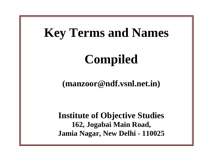## **Key Terms and Names**

# **Compiled**

**(manzoor@ndf.vsnl.net.in)** 

**Institute of Objective Studies 162, Jogabai Main Road, Jamia Nagar, New Delhi - 110025**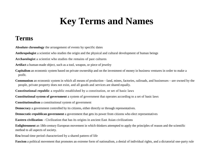### **Key Terms and Names**

#### **Terms**

**Absolute chronology** the arrangement of events by specific dates

**Anthropologist** a scientist who studies the origin and the physical and cultural development of human beings

**Archaeologist** a scientist who studies the remains of past cultures

**Artifact** a human-made object, such as a tool, weapon, or piece of jewelry

**Capitalism** an economic system based on private ownership and on the investment of money in business ventures in order to make a profit.

**Communism** an economic system in which all means of production—land, mines, factories, railroads, and businesses—are owned by the people, private property does not exist, and all goods and services are shared equally.

**Constitutional republic** a republic established by a constitution, or set of basic laws

**Constitutional system of government** a system of government that operates according to a set of basic laws

**Constitutionalism** a constitutional system of government

**Democracy** a government controlled by its citizens, either directly or through representatives.

**Democratic-republican government** a government that gets its power from citizens who elect representatives

**Eastern civilization** - Civilization that has its origins in ancient East Asian civilizations

**Enlightenment** an 18th-century European movement in which thinkers attempted to apply the principles of reason and the scientific method to all aspects of society.

**Era** broad time period characterized by a shared pattern of life

**Fascism** a political movement that promotes an extreme form of nationalism, a denial of individual rights, and a dictatorial one-party rule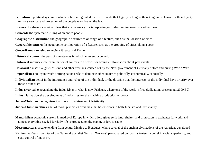- **Feudalism** a political system in which nobles are granted the use of lands that legally belong to their king, in exchange for their loyalty, military service, and protection of the people who live on the land.
- **Frames of reference** a set of ideas that are necessary for interpreting or understanding events or other ideas.
- **Genocide** the systematic killing of an entire people
- **Geographic distribution** the geographic occurrence or range of a feature, such as the location of cities
- **Geographic pattern** the geographic configuration of a feature, such as the grouping of cities along a coast
- **Greco-Roman** relating to ancient Greece and Rome
- **Historical context** the past circumstances in which an event occurred.
- **Historical inquiry** close examination of sources in a search for accurate information about past events
- **Holocaust** a mass slaughter of Jews and other civilians, carried out by the Nazi government of Germany before and during World War II.
- **Imperialism** a policy in which a strong nation seeks to dominate other countries politically, economically, or socially.
- **Individualism** belief in the importance and value of the individual, or the doctrine that the interests of the individual have priority over those of the state
- **Indus river valley** area along the Indus River in what is now Pakistan, where one of the world's first civilizations arose about 2500 BC
- **Industrialization** the development of industries for the machine production of goods
- **Judeo-Christian** having historical roots in Judaism and Christianity
- **Judeo-Christian ethics** a set of moral principles or values that has its roots in both Judaism and Christianity
- **Manorialism** economic system in medieval Europe in which a lord gives serfs land, shelter, and protection in exchange for work, and almost everything needed for daily life is produced on the manor, or lord's estate.
- **Mesoamerica** an area extending from central Mexico to Honduras, where several of the ancient civilizations of the Americas developed
- **Nazism** the fascist policies of the National Socialist German Workers' party, based on totalitarianism, a belief in racial superiority, and state control of industry.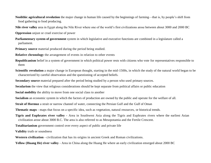**Neolithic agricultural revolution** the major change in human life caused by the beginnings of farming—that is, by people's shift from food gathering to food producing.

**Nile river valley** area in Egypt along the Nile River where one of the world's first civilizations arose between about 3000 and 2000 BC

**Oppression** unjust or cruel exercise of power

**Parliamentary system of government** system in which legislative and executive functions are combined in a legislature called a parliament.

**Primary source** material produced during the period being studied.

**Relative chronology** the arrangement of events in relation to other events

**Republicanism** belief in a system of government in which political power rests with citizens who vote for representatives responsible to them

**Scientific revolution** a major change in European thought, starting in the mid-1500s, in which the study of the natural world began to be characterized by careful observation and the questioning of accepted beliefs.

**Secondary source** material prepared after the period being studied by a person who used primary sources.

**Secularism** the view that religious considerations should be kept separate from political affairs or public education

**Social mobility** the ability to move from one social class to another

**Socialism** an economic system in which the factors of production are owned by the public and operate for the welfare of all.

**Strait of Hormuz** a strait or narrow channel of water, connecting the Persian Gulf and the Gulf of Oman

**Thematic maps -** maps that focus on a specific idea, such as vegetation, natural resources, or historical trends.

**Tigris and Euphrates river valley -** Area in Southwest Asia along the Tigris and Euphrates rivers where the earliest Asian civilization arose about 3000 B.C. The area is also referred to as Mesopotamia and the Fertile Crescent.

**Totalitarianism** government control over every aspect of public and private life

**Validity** truth or soundness

**Western civilization** - civilization that has its origins in ancient Greek and Roman civilizations.

**Yellow (Huang He) river valley** - Area in China along the Huang He where an early civilization emerged about 2000 BC